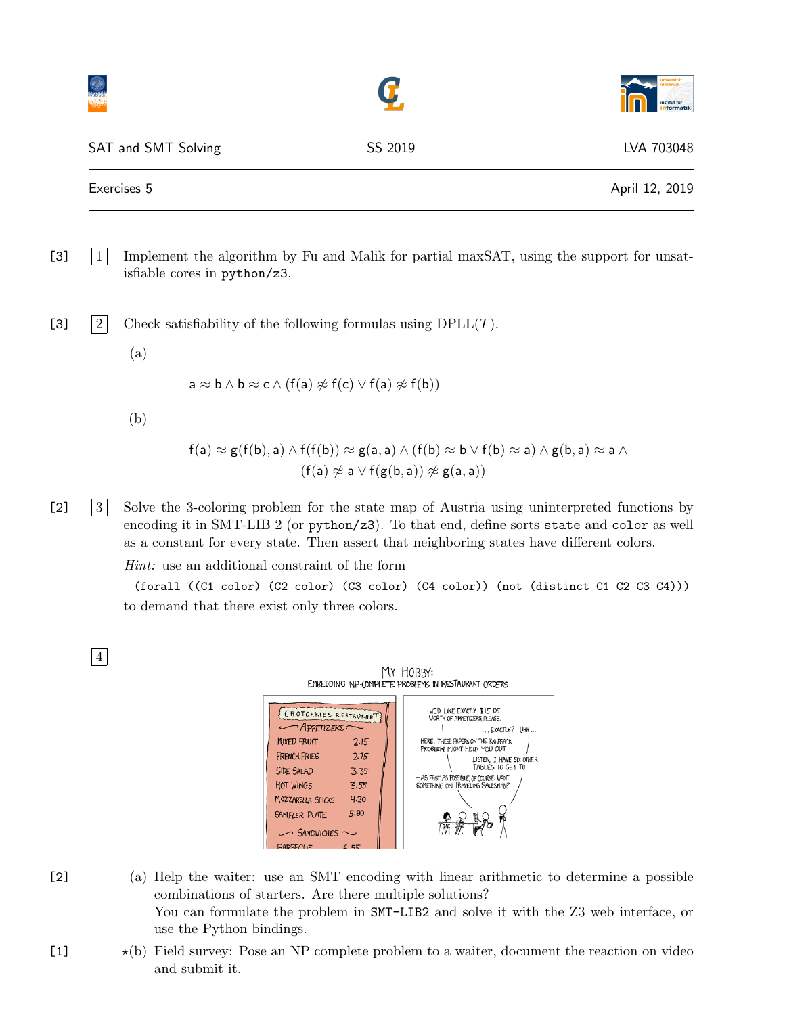|                     |         | universität<br>innsbruck<br>institut für<br><mark>informatik</mark> |  |
|---------------------|---------|---------------------------------------------------------------------|--|
| SAT and SMT Solving | SS 2019 | LVA 703048                                                          |  |
| Exercises 5         |         | April 12, 2019                                                      |  |

[3] |1 Implement the algorithm by Fu and Malik for partial maxSAT, using the support for unsatisfiable cores in python/z3.

[3]  $|2|$  Check satisfiability of the following formulas using DPLL(T).

(a)

$$
\mathsf a\approx \mathsf b\wedge \mathsf b\approx \mathsf c\wedge (\mathsf f(\mathsf a)\not\approx \mathsf f(\mathsf c)\vee \mathsf f(\mathsf a)\not\approx \mathsf f(\mathsf b))
$$

(b)

$$
f(a) \approx g(f(b), a) \land f(f(b)) \approx g(a, a) \land (f(b) \approx b \lor f(b) \approx a) \land g(b, a) \approx a \land (f(a) \not\approx a \lor f(g(b, a)) \not\approx g(a, a))
$$

[2] [3] Solve the 3-coloring problem for the state map of Austria using uninterpreted functions by encoding it in SMT-LIB 2 (or python/z3). To that end, define sorts state and color as well as a constant for every state. Then assert that neighboring states have different colors.

Hint: use an additional constraint of the form

(forall ((C1 color) (C2 color) (C3 color) (C4 color)) (not (distinct C1 C2 C3 C4))) to demand that there exist only three colors.

4

| MY HOBBY:<br>EMBEDDING NP-COMPLETE PROBLEMS IN RESTAURANT ORDERS                                                                                                                                                                                                                  |  |  |                                                                                                                                                                                                                                                                                     |  |  |
|-----------------------------------------------------------------------------------------------------------------------------------------------------------------------------------------------------------------------------------------------------------------------------------|--|--|-------------------------------------------------------------------------------------------------------------------------------------------------------------------------------------------------------------------------------------------------------------------------------------|--|--|
| CHOTCHKIES RESTAURANT<br>$\sim$ APPETIZERS<br>MIXED FRUIT<br>7.15<br><b>FRENCH FRIES</b><br>2.75<br><b>SIDE SALAD</b><br>3.35<br><b>HOT WINGS</b><br>3.55<br>4.20<br><b>MOZZARELLA STICKS</b><br>5.80<br><b>SAMPLER PLATE</b><br>$\sim$ SANDWICHES $\sim$<br>DADFQH<br>$\sim$ $-$ |  |  | WE'D LIKE EXACTLY \$1.5.05<br>WORTH OF APPETIZERS PLEASE.<br>$$ EXACTLY? UHH $$<br>HERE, THESE PAPERS ON THE KNAPSACK<br>PROBLEM MIGHT HELP YOU OUT.<br>LISTEN. I HAVE SIX OTHER<br>TABLES TO GET TO -<br>- AS FAST AS POSSIBLE OF COURSE. WANT<br>SOMETHING ON TRAVELING SALESMAN? |  |  |

- [2] (a) Help the waiter: use an SMT encoding with linear arithmetic to determine a possible combinations of starters. Are there multiple solutions? You can formulate the problem in SMT-LIB2 and solve it with the Z3 web interface, or use the Python bindings.
- $\star$ (b) Field survey: Pose an NP complete problem to a waiter, document the reaction on video and submit it.